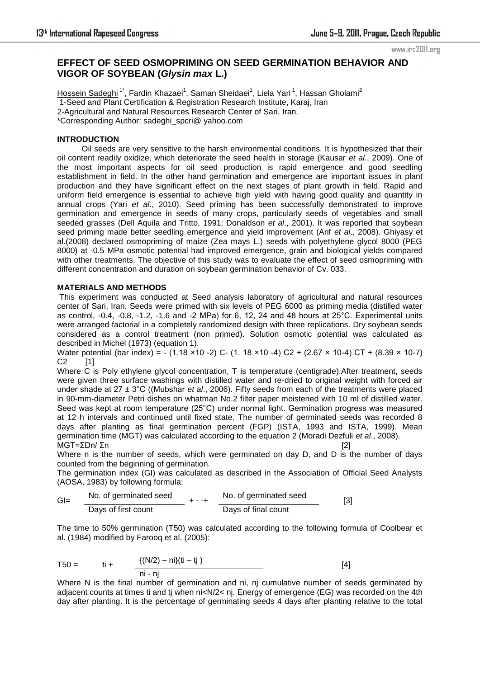www.irc2011.org

# **EFFECT OF SEED OSMOPRIMING ON SEED GERMINATION BEHAVIOR AND VIGOR OF SOYBEAN (***Glysin max* **L.)**

<u>Hossein Sadeghi</u> <sup>1</sup>\*, Fardin Khazaei<sup>1</sup>, Saman Sheidaei<sup>1</sup>, Liela Yari <sup>1</sup>, Hassan Gholami<sup>2</sup> 1-Seed and Plant Certification & Registration Research Institute, Karaj, Iran 2-Agricultural and Natural Resources Research Center of Sari, Iran. \*Corresponding Author: sadeghi\_spcri@ yahoo.com

### **INTRODUCTION**

 Oil seeds are very sensitive to the harsh environmental conditions. It is hypothesized that their oil content readily oxidize, which deteriorate the seed health in storage (Kausar *et al*., 2009). One of the most important aspects for oil seed production is rapid emergence and good seedling establishment in field. In the other hand germination and emergence are important issues in plant production and they have significant effect on the next stages of plant growth in field. Rapid and uniform field emergence is essential to achieve high yield with having good quality and quantity in annual crops (Yari *et al*., 2010). Seed priming has been successfully demonstrated to improve germination and emergence in seeds of many crops, particularly seeds of vegetables and small seeded grasses (Dell Aquila and Tritto, 1991; Donaldson *et al*., 2001). It was reported that soybean seed priming made better seedling emergence and yield improvement (Arif *et al*., 2008). Ghiyasy et al.(2008) declared osmopriming of maize (Zea mays L.) seeds with polyethylene glycol 8000 (PEG 8000) at -0.5 MPa osmotic potential had improved emergence, grain and biological yields compared with other treatments. The objective of this study was to evaluate the effect of seed osmopriming with different concentration and duration on soybean germination behavior of Cv. 033.

## **MATERIALS AND METHODS**

 This experiment was conducted at Seed analysis laboratory of agricultural and natural resources center of Sari, Iran. Seeds were primed with six levels of PEG 6000 as priming media (distilled water as control, -0.4, -0.8, -1.2, -1.6 and -2 MPa) for 6, 12, 24 and 48 hours at 25°C. Experimental units were arranged factorial in a completely randomized design with three replications. Dry soybean seeds considered as a control treatment (non primed). Solution osmotic potential was calculated as described in Michel (1973) (equation 1).

Water potential (bar index) = - (1.18 ×10 -2) C- (1. 18 ×10 -4) C2 + (2.67 × 10-4) CT + (8.39 × 10-7)  $C2$  [1]

Where C is Poly ethylene glycol concentration, T is temperature (centigrade). After treatment, seeds were given three surface washings with distilled water and re-dried to original weight with forced air under shade at 27 ± 3°C ((Mubshar *et al*., 2006). Fifty seeds from each of the treatments were placed in 90-mm-diameter Petri dishes on whatman No.2 filter paper moistened with 10 ml of distilled water. Seed was kept at room temperature (25°C) under normal light. Germination progress was measured at 12 h intervals and continued until fixed state. The number of germinated seeds was recorded 8 days after planting as final germination percent (FGP) (ISTA, 1993 and ISTA, 1999). Mean germination time (MGT) was calculated according to the equation 2 (Moradi Dezfuli *et al*., 2008).  $MGT = ΣDn / Σn$  [2]

Where n is the number of seeds, which were germinated on day D, and D is the number of days counted from the beginning of germination.

The germination index (GI) was calculated as described in the Association of Official Seed Analysts (AOSA, 1983) by following formula:

$$
GI = \frac{No. of germinated seed}{\text{days of first count}} + \frac{1}{1} + \frac{No. of germinated seed}{\text{days of final count}}
$$
 [3]

The time to 50% germination (T50) was calculated according to the following formula of Coolbear et al. (1984) modified by Farooq et al. (2005):

T50 = ti + {(N/2) – ni}(ti – tj ) [4] ni - nj

Where N is the final number of germination and ni, nj cumulative number of seeds germinated by adjacent counts at times ti and ti when ni< $N/2$  < nj. Energy of emergence (EG) was recorded on the 4th day after planting. It is the percentage of germinating seeds 4 days after planting relative to the total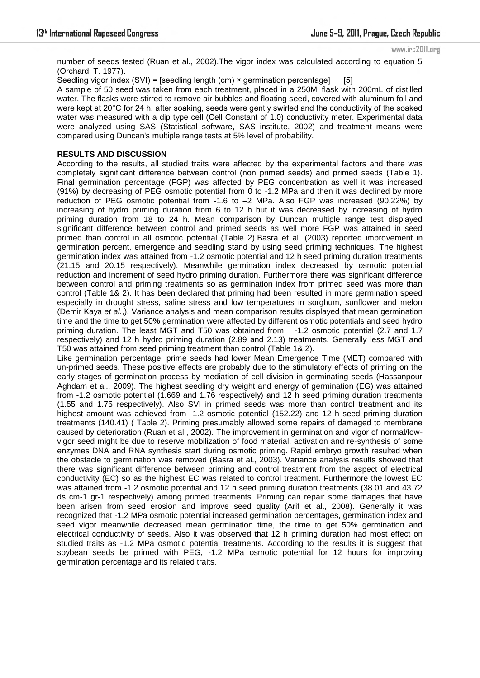#### www.irc2011.org

number of seeds tested (Ruan et al., 2002).The vigor index was calculated according to equation 5 (Orchard, T. 1977).

Seedling vigor index  $(SVI)$  = [seedling length  $(cm)$  × germination percentage] [5]

A sample of 50 seed was taken from each treatment, placed in a 250Ml flask with 200mL of distilled water. The flasks were stirred to remove air bubbles and floating seed, covered with aluminum foil and were kept at 20°C for 24 h. after soaking, seeds were gently swirled and the conductivity of the soaked water was measured with a dip type cell (Cell Constant of 1.0) conductivity meter. Experimental data were analyzed using SAS (Statistical software, SAS institute, 2002) and treatment means were compared using Duncan's multiple range tests at 5% level of probability.

### **RESULTS AND DISCUSSION**

According to the results, all studied traits were affected by the experimental factors and there was completely significant difference between control (non primed seeds) and primed seeds (Table 1). Final germination percentage (FGP) was affected by PEG concentration as well it was increased (91%) by decreasing of PEG osmotic potential from 0 to -1.2 MPa and then it was declined by more reduction of PEG osmotic potential from -1.6 to –2 MPa. Also FGP was increased (90.22%) by increasing of hydro priming duration from 6 to 12 h but it was decreased by increasing of hydro priming duration from 18 to 24 h. Mean comparison by Duncan multiple range test displayed significant difference between control and primed seeds as well more FGP was attained in seed primed than control in all osmotic potential (Table 2).Basra et al. (2003) reported improvement in germination percent, emergence and seedling stand by using seed priming techniques. The highest germination index was attained from -1.2 osmotic potential and 12 h seed priming duration treatments (21.15 and 20.15 respectively). Meanwhile germination index decreased by osmotic potential reduction and increment of seed hydro priming duration. Furthermore there was significant difference between control and priming treatments so as germination index from primed seed was more than control (Table 1& 2). It has been declared that priming had been resulted in more germination speed especially in drought stress, saline stress and low temperatures in sorghum, sunflower and melon (Demir Kaya *et al*.,). Variance analysis and mean comparison results displayed that mean germination time and the time to get 50% germination were affected by different osmotic potentials and seed hydro priming duration. The least MGT and T50 was obtained from -1.2 osmotic potential (2.7 and 1.7 respectively) and 12 h hydro priming duration (2.89 and 2.13) treatments. Generally less MGT and T50 was attained from seed priming treatment than control (Table 1& 2).

Like germination percentage, prime seeds had lower Mean Emergence Time (MET) compared with un-primed seeds. These positive effects are probably due to the stimulatory effects of priming on the early stages of germination process by mediation of cell division in germinating seeds (Hassanpour Aghdam et al., 2009). The highest seedling dry weight and energy of germination (EG) was attained from -1.2 osmotic potential (1.669 and 1.76 respectively) and 12 h seed priming duration treatments (1.55 and 1.75 respectively). Also SVI in primed seeds was more than control treatment and its highest amount was achieved from -1.2 osmotic potential (152.22) and 12 h seed priming duration treatments (140.41) ( Table 2). Priming presumably allowed some repairs of damaged to membrane caused by deterioration (Ruan et al., 2002). The improvement in germination and vigor of normal/lowvigor seed might be due to reserve mobilization of food material, activation and re-synthesis of some enzymes DNA and RNA synthesis start during osmotic priming. Rapid embryo growth resulted when the obstacle to germination was removed (Basra et al., 2003). Variance analysis results showed that there was significant difference between priming and control treatment from the aspect of electrical conductivity (EC) so as the highest EC was related to control treatment. Furthermore the lowest EC was attained from -1.2 osmotic potential and 12 h seed priming duration treatments (38.01 and 43.72 ds cm-1 gr-1 respectively) among primed treatments. Priming can repair some damages that have been arisen from seed erosion and improve seed quality (Arif et al., 2008). Generally it was recognized that -1.2 MPa osmotic potential increased germination percentages, germination index and seed vigor meanwhile decreased mean germination time, the time to get 50% germination and electrical conductivity of seeds. Also it was observed that 12 h priming duration had most effect on studied traits as -1.2 MPa osmotic potential treatments. According to the results it is suggest that soybean seeds be primed with PEG, -1.2 MPa osmotic potential for 12 hours for improving germination percentage and its related traits.